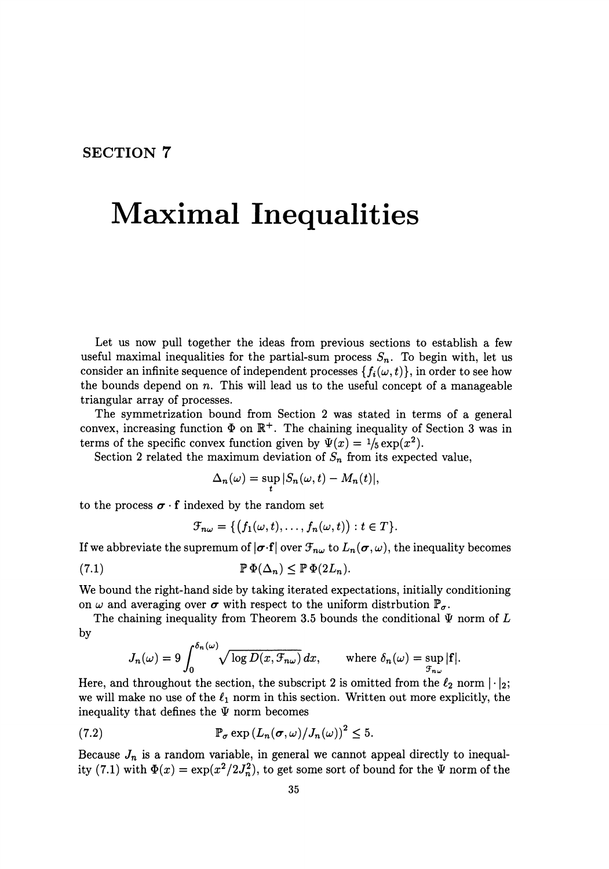## **SECTION 7**

## **Maximal Inequalities**

Let us now pull together the ideas from previous sections to establish a few useful maximal inequalities for the partial-sum process  $S_n$ . To begin with, let us consider an infinite sequence of independent processes  $\{f_i(\omega, t)\}\$ , in order to see how the bounds depend on *n.* This will lead us to the useful concept of a manageable triangular array of processes.

The symmetrization bound from Section 2 was stated in terms of a general convex, increasing function  $\Phi$  on  $\mathbb{R}^+$ . The chaining inequality of Section 3 was in terms of the specific convex function given by  $\Psi(x) = \frac{1}{5} \exp(x^2)$ .

Section 2 related the maximum deviation of  $S_n$  from its expected value,

$$
\Delta_n(\omega) = \sup_t |S_n(\omega, t) - M_n(t)|,
$$

to the process  $\sigma \cdot f$  indexed by the random set

$$
\mathcal{F}_{n\omega} = \{ (f_1(\omega, t), \ldots, f_n(\omega, t)) : t \in T \}.
$$

If we abbreviate the supremum of  $|\boldsymbol{\sigma}\cdot\mathbf{f}|$  over  $\mathcal{F}_{n\omega}$  to  $L_n(\boldsymbol{\sigma}, \omega)$ , the inequality becomes

(7.1) 
$$
\mathbb{P}\,\Phi(\Delta_n) \leq \mathbb{P}\,\Phi(2L_n).
$$

We bound the right-hand side by taking iterated expectations, initially conditioning on  $\omega$  and averaging over  $\sigma$  with respect to the uniform distrbution  $\mathbb{P}_{\sigma}$ .

The chaining inequality from Theorem 3.5 bounds the conditional  $\Psi$  norm of  $L$ by

$$
J_n(\omega) = 9 \int_0^{\delta_n(\omega)} \sqrt{\log D(x, \mathcal{F}_{n\omega})} \, dx, \quad \text{where } \delta_n(\omega) = \sup_{\mathcal{F}_{n\omega}} |f|.
$$

Here, and throughout the section, the subscript 2 is omitted from the  $\ell_2$  norm  $|\cdot|_2$ ; we will make no use of the  $\ell_1$  norm in this section. Written out more explicitly, the inequality that defines the  $\Psi$  norm becomes

(7.2) 
$$
\mathbb{P}_{\sigma} \exp(L_n(\sigma, \omega) / J_n(\omega))^2 \leq 5.
$$

Because  $J_n$  is a random variable, in general we cannot appeal directly to inequality (7.1) with  $\Phi(x) = \exp(x^2/2J_n^2)$ , to get some sort of bound for the  $\Psi$  norm of the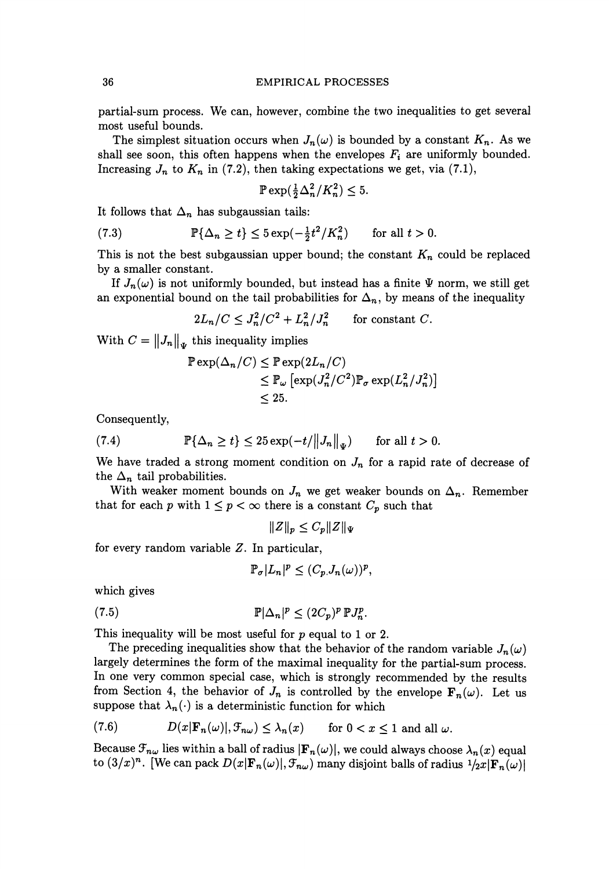## 36 EMPIRICAL PROCESSES

partial-sum process. We can, however, combine the two inequalities to get several most useful bounds.

The simplest situation occurs when  $J_n(\omega)$  is bounded by a constant  $K_n$ . As we shall see soon, this often happens when the envelopes  $F_i$  are uniformly bounded. Increasing  $J_n$  to  $K_n$  in (7.2), then taking expectations we get, via (7.1),

$$
\mathbb{P}\exp(\tfrac{1}{2}\Delta_n^2/K_n^2) \le 5.
$$

It follows that  $\Delta_n$  has subgaussian tails:

(7.3) 
$$
\mathbb{P}\{\Delta_n \ge t\} \le 5\exp(-\frac{1}{2}t^2/K_n^2) \quad \text{for all } t > 0.
$$

This is not the best subgaussian upper bound; the constant  $K_n$  could be replaced by a smaller constant.

If  $J_n(\omega)$  is not uniformly bounded, but instead has a finite  $\Psi$  norm, we still get an exponential bound on the tail probabilities for  $\Delta_n$ , by means of the inequality

$$
2L_n/C \leq J_n^2/C^2 + L_n^2/J_n^2 \qquad \text{for constant } C.
$$

With  $C = ||J_n||_{\Psi}$  this inequality implies

$$
\mathbb{P} \exp(\Delta_n/C) \leq \mathbb{P} \exp(2L_n/C)
$$
  
\$\leq \mathbb{P}\_{\omega} \left[ \exp(J\_n^2/C^2) \mathbb{P}\_{\sigma} \exp(L\_n^2/J\_n^2) \right] \$  
\$\leq 25\$.

Consequently,

(7.4) 
$$
\mathbb{P}\{\Delta_n \geq t\} \leq 25 \exp(-t/||J_n||_{\Psi}) \quad \text{for all } t > 0.
$$

We have traded a strong moment condition on  $J_n$  for a rapid rate of decrease of the  $\Delta_n$  tail probabilities.

With weaker moment bounds on  $J_n$  we get weaker bounds on  $\Delta_n$ . Remember that for each p with  $1 \leq p < \infty$  there is a constant  $C_p$  such that

$$
||Z||_p \leq C_p ||Z||_{\Psi}
$$

for every random variable Z. In particular,

$$
\mathbb{P}_{\sigma}|L_n|^p \le (C_p J_n(\omega))^p,
$$

which gives

$$
\mathbb{P}|\Delta_n|^p \le (2C_p)^p \, \mathbb{P} J_n^p.
$$

This inequality will be most useful for p equal to 1 or 2.

The preceding inequalities show that the behavior of the random variable  $J_n(\omega)$ largely determines the form of the maximal inequality for the partial-sum process. In one very common special case, which is strongly recommended by the results from Section 4, the behavior of  $J_n$  is controlled by the envelope  $\mathbf{F}_n(\omega)$ . Let us suppose that  $\lambda_n(\cdot)$  is a deterministic function for which

(7.6) 
$$
D(x|\mathbf{F}_n(\omega)|, \mathcal{F}_{n\omega}) \leq \lambda_n(x) \quad \text{for } 0 < x \leq 1 \text{ and all } \omega.
$$

Because  $\mathcal{F}_{n\omega}$  lies within a ball of radius  $|\mathbf{F}_n(\omega)|$ , we could always choose  $\lambda_n(x)$  equal to  $(3/x)^n$ . [We can pack  $D(x|\mathbf{F}_n(\omega)|, \mathcal{F}_{n\omega})$  many disjoint balls of radius  $1/2x|\mathbf{F}_n(\omega)|$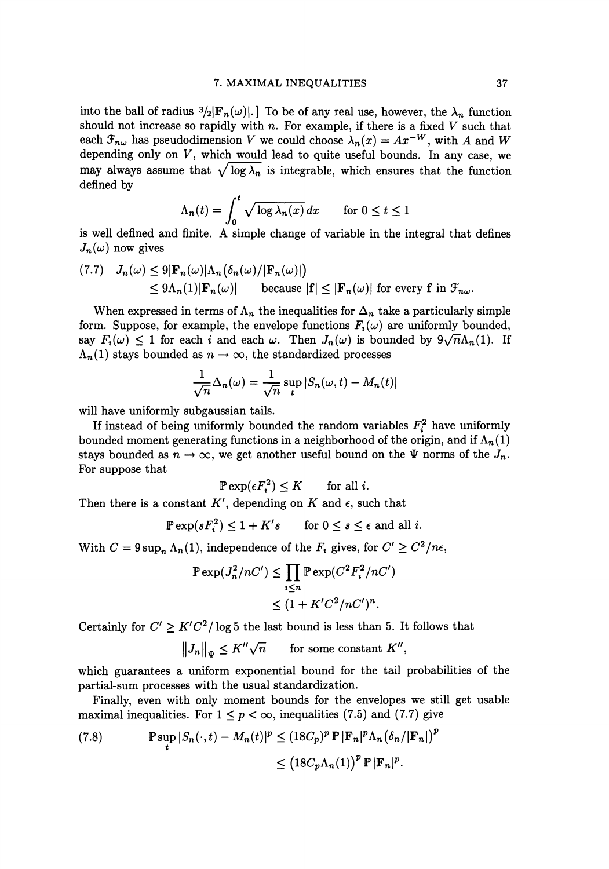into the ball of radius  $\frac{3}{2}|\mathbf{F}_n(\omega)|$ . To be of any real use, however, the  $\lambda_n$  function should not increase so rapidly with *n.* For example, if there is a fixed *V* such that each  $\mathcal{F}_{n\omega}$  has pseudodimension *V* we could choose  $\lambda_n(x) = Ax^{-W}$ , with *A* and *W* depending only on  $V$ , which would lead to quite useful bounds. In any case, we may always assume that  $\sqrt{\log \lambda_n}$  is integrable, which ensures that the function defined by

$$
\Lambda_n(t) = \int_0^t \sqrt{\log \lambda_n(x)} \, dx \qquad \text{for } 0 \le t \le 1
$$

is well defined and finite. A simple change of variable in the integral that defines  $J_n(\omega)$  now gives

$$
(7.7) \quad J_n(\omega) \le 9|\mathbf{F}_n(\omega)|\Lambda_n(\delta_n(\omega)/|\mathbf{F}_n(\omega)|)
$$
  
\$\le 9\Lambda\_n(1)|\mathbf{F}\_n(\omega)|\$ because  $|\mathbf{f}| \le |\mathbf{F}_n(\omega)|$  for every **f** in  $\mathcal{F}_{n\omega}$ .

When expressed in terms of  $\Lambda_n$  the inequalities for  $\Delta_n$  take a particularly simple form. Suppose, for example, the envelope functions  $F_i(\omega)$  are uniformly bounded, say  $F_i(\omega) \leq 1$  for each *i* and each  $\omega$ . Then  $J_n(\omega)$  is bounded by  $9\sqrt{n}\Lambda_n(1)$ . If  $\Lambda_n(1)$  stays bounded as  $n \to \infty$ , the standardized processes

$$
\frac{1}{\sqrt{n}}\Delta_n(\omega) = \frac{1}{\sqrt{n}}\sup_t |S_n(\omega, t) - M_n(t)|
$$

will have uniformly subgaussian tails.

If instead of being uniformly bounded the random variables  $F_i^2$  have uniformly bounded moment generating functions in a neighborhood of the origin, and if  $\Lambda_n(1)$ stays bounded as  $n \to \infty$ , we get another useful bound on the  $\Psi$  norms of the  $J_n$ . For suppose that

$$
\mathbb{P}\exp(\epsilon F_i^2) \le K \qquad \text{for all } i.
$$

Then there is a constant  $K'$ , depending on  $K$  and  $\epsilon$ , such that

$$
\mathbb{P}\exp(sF_i^2) \le 1 + K's \qquad \text{for } 0 \le s \le \epsilon \text{ and all } i.
$$

With  $C = 9 \sup_n \Lambda_n(1)$ , independence of the  $F_i$  gives, for  $C' \geq C^2/n\epsilon$ ,

$$
\mathbb{P}\exp(J_n^2/nC') \le \prod_{i\le n} \mathbb{P}\exp(C^2F_i^2/nC')
$$
  

$$
\le (1 + K'C^2/nC')^n.
$$

Certainly for  $C' \geq K'C^2/\log 5$  the last bound is less than 5. It follows that

 $||J_n||_{\Psi} \leq K'' \sqrt{n}$  for some constant  $K''$ ,

which guarantees a uniform exponential bound for the tail probabilities of the partial-sum processes with the usual standardization.

Finally, even with only moment bounds for the envelopes we still get usable maximal inequalities. For  $1 \le p < \infty$ , inequalities (7.5) and (7.7) give

(7.8) 
$$
\mathbb{P}\sup_{t} |S_n(\cdot,t) - M_n(t)|^p \le (18C_p)^p \mathbb{P} |\mathbf{F}_n|^p \Lambda_n (\delta_n/|\mathbf{F}_n|)^p
$$

$$
\le (18C_p \Lambda_n(1))^p \mathbb{P} |\mathbf{F}_n|^p.
$$